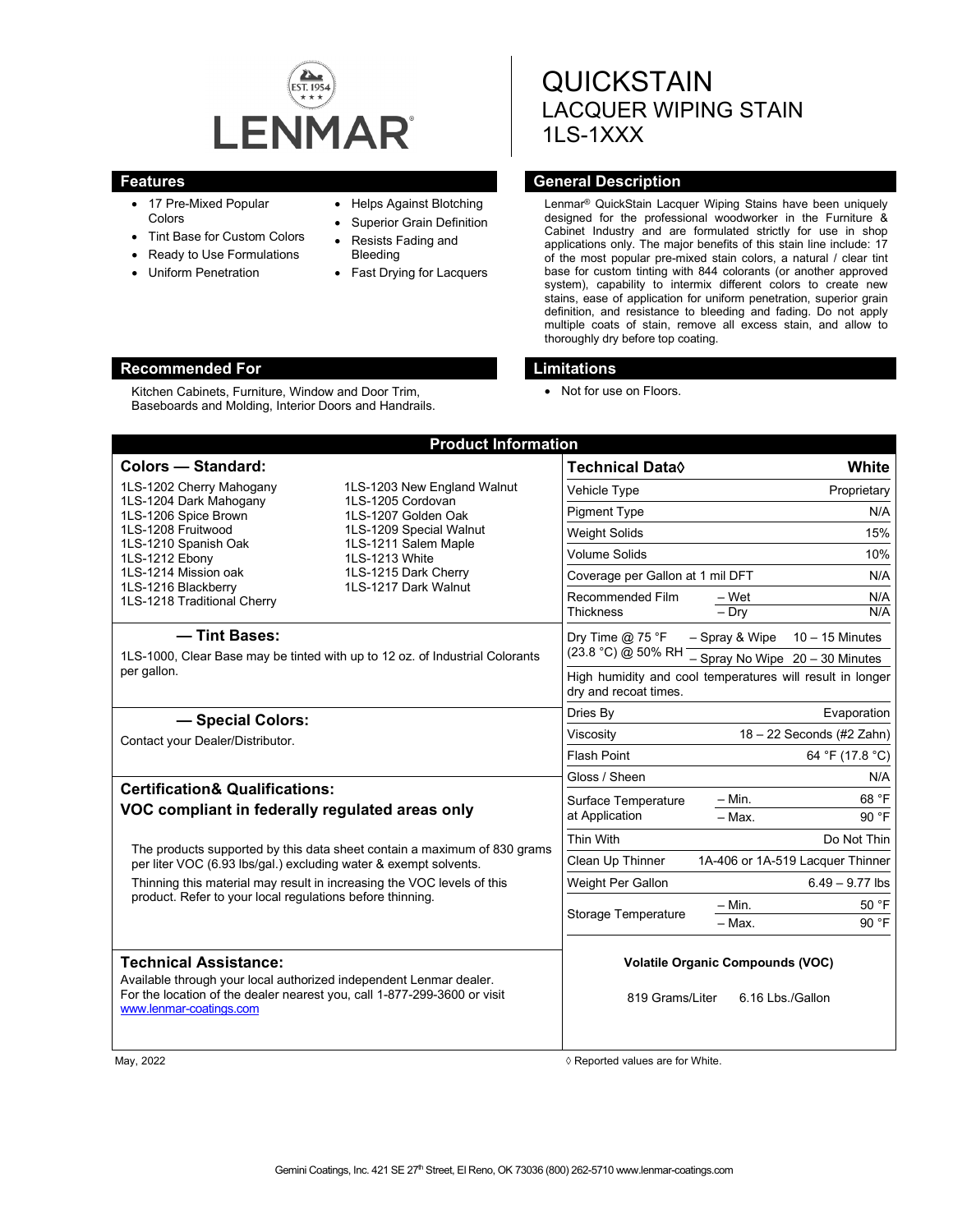

- 17 Pre-Mixed Popular Colors
- Tint Base for Custom Colors

Kitchen Cabinets, Furniture, Window and Door Trim, Baseboards and Molding, Interior Doors and Handrails.

- Ready to Use Formulations
- Uniform Penetration
- Helps Against Blotching
- Superior Grain Definition
- Resists Fading and Bleeding
- Fast Drying for Lacquers

# **QUICKSTAIN** LACQUER WIPING STAIN 1LS-1XXX

# **Features General Description**

Lenmar® QuickStain Lacquer Wiping Stains have been uniquely designed for the professional woodworker in the Furniture & Cabinet Industry and are formulated strictly for use in shop applications only. The major benefits of this stain line include: 17 of the most popular pre-mixed stain colors, a natural / clear tint base for custom tinting with 844 colorants (or another approved system), capability to intermix different colors to create new stains, ease of application for uniform penetration, superior grain definition, and resistance to bleeding and fading. Do not apply multiple coats of stain, remove all excess stain, and allow to thoroughly dry before top coating.

### **Recommended For Limitations**

• Not for use on Floors.

| <b>Colors - Standard:</b>                                                                                                                                                                                                |                                                                                                                                                                                              | Technical Data <sup>0</sup>                                                        |                           | <b>White</b>                        |
|--------------------------------------------------------------------------------------------------------------------------------------------------------------------------------------------------------------------------|----------------------------------------------------------------------------------------------------------------------------------------------------------------------------------------------|------------------------------------------------------------------------------------|---------------------------|-------------------------------------|
| 1LS-1202 Cherry Mahogany<br>1LS-1204 Dark Mahogany<br>1LS-1206 Spice Brown<br>1LS-1208 Fruitwood<br>1LS-1210 Spanish Oak<br>1LS-1212 Ebony<br>1LS-1214 Mission oak<br>1LS-1216 Blackberry<br>1LS-1218 Traditional Cherry | 1LS-1203 New England Walnut<br>1LS-1205 Cordovan<br>1LS-1207 Golden Oak<br>1LS-1209 Special Walnut<br>1LS-1211 Salem Maple<br>1LS-1213 White<br>1LS-1215 Dark Cherry<br>1LS-1217 Dark Walnut | Vehicle Type                                                                       |                           | Proprietary                         |
|                                                                                                                                                                                                                          |                                                                                                                                                                                              | <b>Pigment Type</b>                                                                |                           | N/A                                 |
|                                                                                                                                                                                                                          |                                                                                                                                                                                              | <b>Weight Solids</b>                                                               |                           | 15%                                 |
|                                                                                                                                                                                                                          |                                                                                                                                                                                              | <b>Volume Solids</b>                                                               |                           | 10%                                 |
|                                                                                                                                                                                                                          |                                                                                                                                                                                              | Coverage per Gallon at 1 mil DFT                                                   |                           | N/A                                 |
|                                                                                                                                                                                                                          |                                                                                                                                                                                              | Recommended Film<br><b>Thickness</b>                                               | – Wet<br>$-$ Drv          | N/A<br>N/A                          |
| - Tint Bases:                                                                                                                                                                                                            |                                                                                                                                                                                              | Dry Time $@$ 75 °F<br>(23.8 °C) @ 50% RH                                           | - Spray & Wipe            | $10 - 15$ Minutes                   |
| 1LS-1000, Clear Base may be tinted with up to 12 oz. of Industrial Colorants                                                                                                                                             |                                                                                                                                                                                              |                                                                                    |                           | $-$ Spray No Wipe $20 - 30$ Minutes |
| per gallon.                                                                                                                                                                                                              |                                                                                                                                                                                              | High humidity and cool temperatures will result in longer<br>dry and recoat times. |                           |                                     |
| - Special Colors:                                                                                                                                                                                                        |                                                                                                                                                                                              | Dries By                                                                           |                           | Evaporation                         |
| Contact your Dealer/Distributor.                                                                                                                                                                                         |                                                                                                                                                                                              | Viscosity                                                                          | 18 - 22 Seconds (#2 Zahn) |                                     |
|                                                                                                                                                                                                                          |                                                                                                                                                                                              | Flash Point                                                                        |                           | 64 °F (17.8 °C)                     |
|                                                                                                                                                                                                                          |                                                                                                                                                                                              | Gloss / Sheen                                                                      |                           | N/A                                 |
| <b>Certification&amp; Qualifications:</b><br>VOC compliant in federally regulated areas only<br>The products supported by this data sheet contain a maximum of 830 grams                                                 |                                                                                                                                                                                              | Surface Temperature<br>at Application                                              | - Min.                    | 68 °F                               |
|                                                                                                                                                                                                                          |                                                                                                                                                                                              |                                                                                    | $-$ Max.                  | 90 °F                               |
|                                                                                                                                                                                                                          |                                                                                                                                                                                              | Thin With                                                                          |                           | Do Not Thin                         |
| per liter VOC (6.93 lbs/gal.) excluding water & exempt solvents.                                                                                                                                                         |                                                                                                                                                                                              | Clean Up Thinner                                                                   |                           | 1A-406 or 1A-519 Lacquer Thinner    |
| Thinning this material may result in increasing the VOC levels of this                                                                                                                                                   |                                                                                                                                                                                              | Weight Per Gallon                                                                  |                           | $6.49 - 9.77$ lbs                   |
| product. Refer to your local regulations before thinning.                                                                                                                                                                |                                                                                                                                                                                              | Storage Temperature                                                                | $-$ Min.<br>- Max.        | 50 °F<br>90 °F                      |
| <b>Technical Assistance:</b><br>Available through your local authorized independent Lenmar dealer.<br>For the location of the dealer nearest you, call 1-877-299-3600 or visit<br>www.lenmar-coatings.com                |                                                                                                                                                                                              | <b>Volatile Organic Compounds (VOC)</b><br>819 Grams/Liter<br>6.16 Lbs./Gallon     |                           |                                     |

May, 2022  $\Diamond$  Reported values are for White.